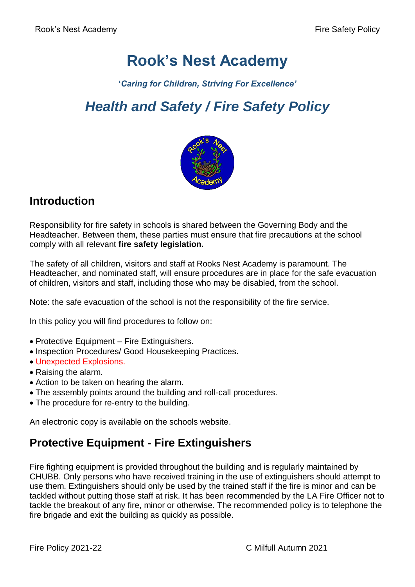# **Rook's Nest Academy**

**'***Caring for Children, Striving For Excellence'*

# *Health and Safety / Fire Safety Policy*



### **Introduction**

Responsibility for fire safety in schools is shared between the Governing Body and the Headteacher. Between them, these parties must ensure that fire precautions at the school comply with all relevant **fire safety legislation.**

The safety of all children, visitors and staff at Rooks Nest Academy is paramount. The Headteacher, and nominated staff, will ensure procedures are in place for the safe evacuation of children, visitors and staff, including those who may be disabled, from the school.

Note: the safe evacuation of the school is not the responsibility of the fire service.

In this policy you will find procedures to follow on:

- Protective Equipment Fire Extinguishers.
- Inspection Procedures/ Good Housekeeping Practices.
- Unexpected Explosions.
- Raising the alarm.
- Action to be taken on hearing the alarm.
- The assembly points around the building and roll-call procedures.
- The procedure for re-entry to the building.

An electronic copy is available on the schools website.

## **Protective Equipment - Fire Extinguishers**

Fire fighting equipment is provided throughout the building and is regularly maintained by CHUBB. Only persons who have received training in the use of extinguishers should attempt to use them. Extinguishers should only be used by the trained staff if the fire is minor and can be tackled without putting those staff at risk. It has been recommended by the LA Fire Officer not to tackle the breakout of any fire, minor or otherwise. The recommended policy is to telephone the fire brigade and exit the building as quickly as possible.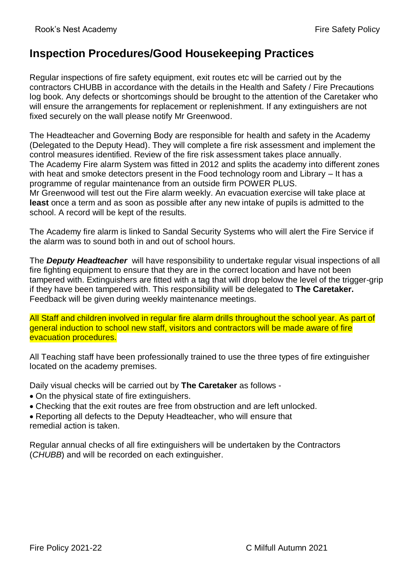### **Inspection Procedures/Good Housekeeping Practices**

Regular inspections of fire safety equipment, exit routes etc will be carried out by the contractors CHUBB in accordance with the details in the Health and Safety / Fire Precautions log book. Any defects or shortcomings should be brought to the attention of the Caretaker who will ensure the arrangements for replacement or replenishment. If any extinguishers are not fixed securely on the wall please notify Mr Greenwood.

The Headteacher and Governing Body are responsible for health and safety in the Academy (Delegated to the Deputy Head). They will complete a fire risk assessment and implement the control measures identified. Review of the fire risk assessment takes place annually. The Academy Fire alarm System was fitted in 2012 and splits the academy into different zones with heat and smoke detectors present in the Food technology room and Library – It has a programme of regular maintenance from an outside firm POWER PLUS. Mr Greenwood will test out the Fire alarm weekly. An evacuation exercise will take place at **least** once a term and as soon as possible after any new intake of pupils is admitted to the school. A record will be kept of the results.

The Academy fire alarm is linked to Sandal Security Systems who will alert the Fire Service if the alarm was to sound both in and out of school hours.

The *Deputy Headteacher* will have responsibility to undertake regular visual inspections of all fire fighting equipment to ensure that they are in the correct location and have not been tampered with. Extinguishers are fitted with a tag that will drop below the level of the trigger-grip if they have been tampered with. This responsibility will be delegated to **The Caretaker.** Feedback will be given during weekly maintenance meetings.

All Staff and children involved in regular fire alarm drills throughout the school year. As part of general induction to school new staff, visitors and contractors will be made aware of fire evacuation procedures.

All Teaching staff have been professionally trained to use the three types of fire extinguisher located on the academy premises.

Daily visual checks will be carried out by **The Caretaker** as follows -

- On the physical state of fire extinguishers.
- Checking that the exit routes are free from obstruction and are left unlocked.
- Reporting all defects to the Deputy Headteacher, who will ensure that remedial action is taken.

Regular annual checks of all fire extinguishers will be undertaken by the Contractors (*CHUBB*) and will be recorded on each extinguisher.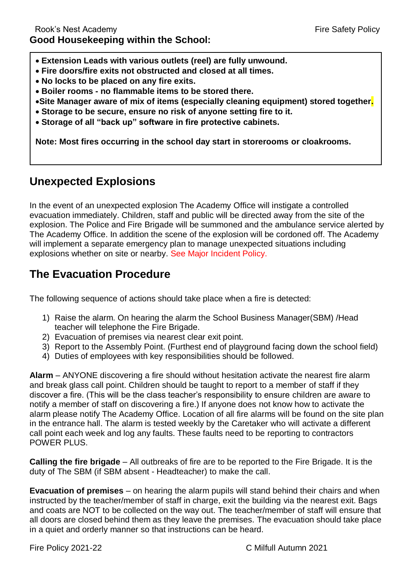- **Extension Leads with various outlets (reel) are fully unwound.**
- **Fire doors/fire exits not obstructed and closed at all times.**
- **No locks to be placed on any fire exits.**
- **Boiler rooms - no flammable items to be stored there.**
- **Site Manager aware of mix of items (especially cleaning equipment) stored together.**
- **Storage to be secure, ensure no risk of anyone setting fire to it.**
- **Storage of all "back up" software in fire protective cabinets.**

**Note: Most fires occurring in the school day start in storerooms or cloakrooms.**

### **Unexpected Explosions**

In the event of an unexpected explosion The Academy Office will instigate a controlled evacuation immediately. Children, staff and public will be directed away from the site of the explosion. The Police and Fire Brigade will be summoned and the ambulance service alerted by The Academy Office. In addition the scene of the explosion will be cordoned off. The Academy will implement a separate emergency plan to manage unexpected situations including explosions whether on site or nearby. See Major Incident Policy.

### **The Evacuation Procedure**

The following sequence of actions should take place when a fire is detected:

- 1) Raise the alarm. On hearing the alarm the School Business Manager(SBM) /Head teacher will telephone the Fire Brigade.
- 2) Evacuation of premises via nearest clear exit point.
- 3) Report to the Assembly Point. (Furthest end of playground facing down the school field)
- 4) Duties of employees with key responsibilities should be followed.

**Alarm** – ANYONE discovering a fire should without hesitation activate the nearest fire alarm and break glass call point. Children should be taught to report to a member of staff if they discover a fire. (This will be the class teacher's responsibility to ensure children are aware to notify a member of staff on discovering a fire.) If anyone does not know how to activate the alarm please notify The Academy Office. Location of all fire alarms will be found on the site plan in the entrance hall. The alarm is tested weekly by the Caretaker who will activate a different call point each week and log any faults. These faults need to be reporting to contractors POWER PLUS.

**Calling the fire brigade** – All outbreaks of fire are to be reported to the Fire Brigade. It is the duty of The SBM (if SBM absent - Headteacher) to make the call.

**Evacuation of premises** – on hearing the alarm pupils will stand behind their chairs and when instructed by the teacher/member of staff in charge, exit the building via the nearest exit. Bags and coats are NOT to be collected on the way out. The teacher/member of staff will ensure that all doors are closed behind them as they leave the premises. The evacuation should take place in a quiet and orderly manner so that instructions can be heard.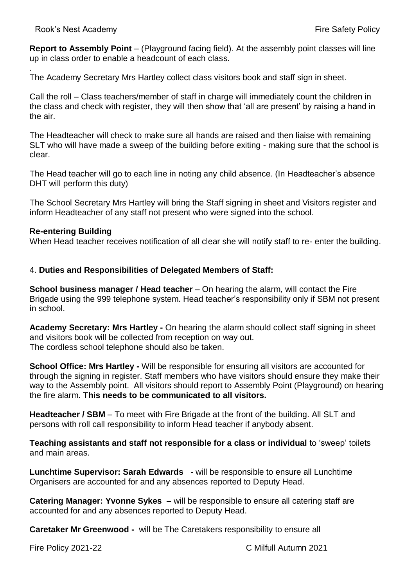**Report to Assembly Point** – (Playground facing field). At the assembly point classes will line up in class order to enable a headcount of each class.

. The Academy Secretary Mrs Hartley collect class visitors book and staff sign in sheet.

Call the roll – Class teachers/member of staff in charge will immediately count the children in the class and check with register, they will then show that 'all are present' by raising a hand in the air.

The Headteacher will check to make sure all hands are raised and then liaise with remaining SLT who will have made a sweep of the building before exiting - making sure that the school is clear.

The Head teacher will go to each line in noting any child absence. (In Headteacher's absence DHT will perform this duty)

The School Secretary Mrs Hartley will bring the Staff signing in sheet and Visitors register and inform Headteacher of any staff not present who were signed into the school.

#### **Re-entering Building**

When Head teacher receives notification of all clear she will notify staff to re- enter the building.

#### 4. **Duties and Responsibilities of Delegated Members of Staff:**

**School business manager / Head teacher** – On hearing the alarm, will contact the Fire Brigade using the 999 telephone system. Head teacher's responsibility only if SBM not present in school.

**Academy Secretary: Mrs Hartley -** On hearing the alarm should collect staff signing in sheet and visitors book will be collected from reception on way out. The cordless school telephone should also be taken.

**School Office: Mrs Hartley -** Will be responsible for ensuring all visitors are accounted for through the signing in register. Staff members who have visitors should ensure they make their way to the Assembly point. All visitors should report to Assembly Point (Playground) on hearing the fire alarm. **This needs to be communicated to all visitors.**

**Headteacher / SBM** – To meet with Fire Brigade at the front of the building. All SLT and persons with roll call responsibility to inform Head teacher if anybody absent.

**Teaching assistants and staff not responsible for a class or individual** to 'sweep' toilets and main areas.

**Lunchtime Supervisor: Sarah Edwards** - will be responsible to ensure all Lunchtime Organisers are accounted for and any absences reported to Deputy Head.

**Catering Manager: Yvonne Sykes –** will be responsible to ensure all catering staff are accounted for and any absences reported to Deputy Head.

**Caretaker Mr Greenwood -** will be The Caretakers responsibility to ensure all

Fire Policy 2021-22 C Milfull Autumn 2021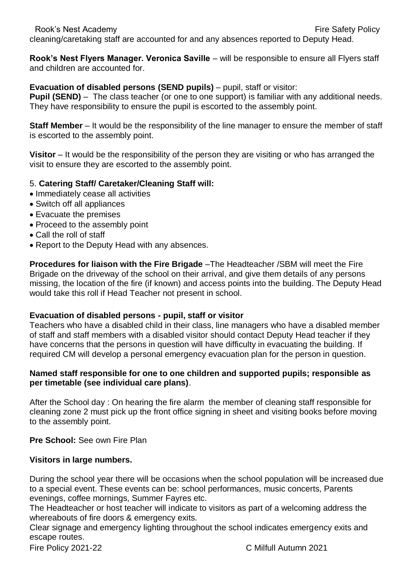cleaning/caretaking staff are accounted for and any absences reported to Deputy Head.

**Rook's Nest Flyers Manager. Veronica Saville** – will be responsible to ensure all Flyers staff and children are accounted for.

#### **Evacuation of disabled persons (SEND pupils)** – pupil, staff or visitor:

**Pupil (SEND)** – The class teacher (or one to one support) is familiar with any additional needs. They have responsibility to ensure the pupil is escorted to the assembly point.

**Staff Member** – It would be the responsibility of the line manager to ensure the member of staff is escorted to the assembly point.

**Visitor** – It would be the responsibility of the person they are visiting or who has arranged the visit to ensure they are escorted to the assembly point.

#### 5. **Catering Staff/ Caretaker/Cleaning Staff will:**

- Immediately cease all activities
- Switch off all appliances
- Evacuate the premises
- Proceed to the assembly point
- Call the roll of staff
- Report to the Deputy Head with any absences.

**Procedures for liaison with the Fire Brigade** –The Headteacher /SBM will meet the Fire Brigade on the driveway of the school on their arrival, and give them details of any persons missing, the location of the fire (if known) and access points into the building. The Deputy Head would take this roll if Head Teacher not present in school.

#### **Evacuation of disabled persons - pupil, staff or visitor**

Teachers who have a disabled child in their class, line managers who have a disabled member of staff and staff members with a disabled visitor should contact Deputy Head teacher if they have concerns that the persons in question will have difficulty in evacuating the building. If required CM will develop a personal emergency evacuation plan for the person in question.

#### **Named staff responsible for one to one children and supported pupils; responsible as per timetable (see individual care plans)**.

After the School day : On hearing the fire alarm the member of cleaning staff responsible for cleaning zone 2 must pick up the front office signing in sheet and visiting books before moving to the assembly point.

**Pre School:** See own Fire Plan

#### **Visitors in large numbers.**

During the school year there will be occasions when the school population will be increased due to a special event. These events can be: school performances, music concerts, Parents evenings, coffee mornings, Summer Fayres etc.

The Headteacher or host teacher will indicate to visitors as part of a welcoming address the whereabouts of fire doors & emergency exits.

Clear signage and emergency lighting throughout the school indicates emergency exits and escape routes.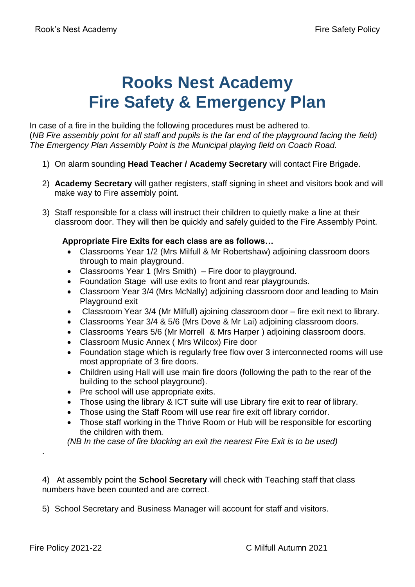# **Rooks Nest Academy Fire Safety & Emergency Plan**

In case of a fire in the building the following procedures must be adhered to. (*NB Fire assembly point for all staff and pupils is the far end of the playground facing the field) The Emergency Plan Assembly Point is the Municipal playing field on Coach Road.* 

- 1) On alarm sounding **Head Teacher / Academy Secretary** will contact Fire Brigade.
- 2) **Academy Secretary** will gather registers, staff signing in sheet and visitors book and will make way to Fire assembly point.
- 3) Staff responsible for a class will instruct their children to quietly make a line at their classroom door. They will then be quickly and safely guided to the Fire Assembly Point.

#### **Appropriate Fire Exits for each class are as follows…**

- Classrooms Year 1/2 (Mrs Milfull & Mr Robertshaw) adjoining classroom doors through to main playground.
- Classrooms Year 1 (Mrs Smith) Fire door to playground.
- Foundation Stage will use exits to front and rear playgrounds.
- Classroom Year 3/4 (Mrs McNally) adjoining classroom door and leading to Main Playground exit
- Classroom Year 3/4 (Mr Milfull) ajoining classroom door fire exit next to library.
- Classrooms Year 3/4 & 5/6 (Mrs Dove & Mr Lai) adjoining classroom doors.
- Classrooms Years 5/6 (Mr Morrell & Mrs Harper ) adjoining classroom doors.
- Classroom Music Annex ( Mrs Wilcox) Fire door
- Foundation stage which is regularly free flow over 3 interconnected rooms will use most appropriate of 3 fire doors.
- Children using Hall will use main fire doors (following the path to the rear of the building to the school playground).
- Pre school will use appropriate exits.
- Those using the library & ICT suite will use Library fire exit to rear of library.
- Those using the Staff Room will use rear fire exit off library corridor.
- Those staff working in the Thrive Room or Hub will be responsible for escorting the children with them.

*(NB In the case of fire blocking an exit the nearest Fire Exit is to be used)* 

4) At assembly point the **School Secretary** will check with Teaching staff that class numbers have been counted and are correct.

5) School Secretary and Business Manager will account for staff and visitors.

.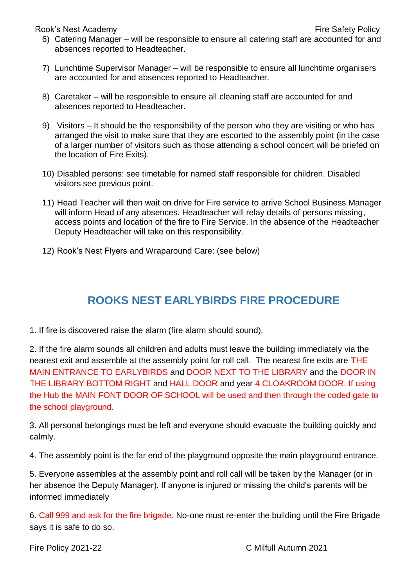Rook's Nest Academy **Fire Safety Policy Fire Safety Policy** 

- 6) Catering Manager will be responsible to ensure all catering staff are accounted for and absences reported to Headteacher.
- 7) Lunchtime Supervisor Manager will be responsible to ensure all lunchtime organisers are accounted for and absences reported to Headteacher.
- 8) Caretaker will be responsible to ensure all cleaning staff are accounted for and absences reported to Headteacher.
- 9) Visitors It should be the responsibility of the person who they are visiting or who has arranged the visit to make sure that they are escorted to the assembly point (in the case of a larger number of visitors such as those attending a school concert will be briefed on the location of Fire Exits).
- 10) Disabled persons: see timetable for named staff responsible for children. Disabled visitors see previous point.
- 11) Head Teacher will then wait on drive for Fire service to arrive School Business Manager will inform Head of any absences. Headteacher will relay details of persons missing, access points and location of the fire to Fire Service. In the absence of the Headteacher Deputy Headteacher will take on this responsibility.
- 12) Rook's Nest Flyers and Wraparound Care: (see below)

### **ROOKS NEST EARLYBIRDS FIRE PROCEDURE**

1. If fire is discovered raise the alarm (fire alarm should sound).

2. If the fire alarm sounds all children and adults must leave the building immediately via the nearest exit and assemble at the assembly point for roll call. The nearest fire exits are THE MAIN ENTRANCE TO EARLYBIRDS and DOOR NEXT TO THE LIBRARY and the DOOR IN THE LIBRARY BOTTOM RIGHT and HALL DOOR and year 4 CLOAKROOM DOOR. If using the Hub the MAIN FONT DOOR OF SCHOOL will be used and then through the coded gate to the school playground.

3. All personal belongings must be left and everyone should evacuate the building quickly and calmly.

4. The assembly point is the far end of the playground opposite the main playground entrance.

5. Everyone assembles at the assembly point and roll call will be taken by the Manager (or in her absence the Deputy Manager). If anyone is injured or missing the child's parents will be informed immediately

6. Call 999 and ask for the fire brigade. No-one must re-enter the building until the Fire Brigade says it is safe to do so.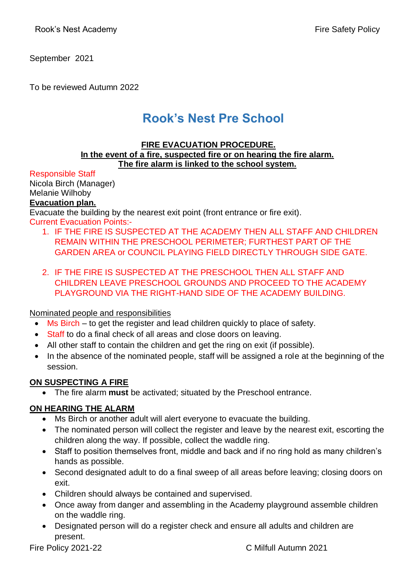September 2021

To be reviewed Autumn 2022

## **Rook's Nest Pre School**

#### **FIRE EVACUATION PROCEDURE. In the event of a fire, suspected fire or on hearing the fire alarm. The fire alarm is linked to the school system.**

Responsible Staff

Nicola Birch (Manager) Melanie Wilhoby **Evacuation plan.**

Evacuate the building by the nearest exit point (front entrance or fire exit). Current Evacuation Points:-

- 1. IF THE FIRE IS SUSPECTED AT THE ACADEMY THEN ALL STAFF AND CHILDREN REMAIN WITHIN THE PRESCHOOL PERIMETER; FURTHEST PART OF THE GARDEN AREA or COUNCIL PLAYING FIELD DIRECTLY THROUGH SIDE GATE.
- 2. IF THE FIRE IS SUSPECTED AT THE PRESCHOOL THEN ALL STAFF AND CHILDREN LEAVE PRESCHOOL GROUNDS AND PROCEED TO THE ACADEMY PLAYGROUND VIA THE RIGHT-HAND SIDE OF THE ACADEMY BUILDING.

#### Nominated people and responsibilities

- Ms Birch to get the register and lead children quickly to place of safety.
- Staff to do a final check of all areas and close doors on leaving.
- All other staff to contain the children and get the ring on exit (if possible).
- In the absence of the nominated people, staff will be assigned a role at the beginning of the session.

#### **ON SUSPECTING A FIRE**

The fire alarm **must** be activated; situated by the Preschool entrance.

#### **ON HEARING THE ALARM**

- Ms Birch or another adult will alert everyone to evacuate the building.
- The nominated person will collect the register and leave by the nearest exit, escorting the children along the way. If possible, collect the waddle ring.
- Staff to position themselves front, middle and back and if no ring hold as many children's hands as possible.
- Second designated adult to do a final sweep of all areas before leaving; closing doors on exit.
- Children should always be contained and supervised.
- Once away from danger and assembling in the Academy playground assemble children on the waddle ring.
- Designated person will do a register check and ensure all adults and children are present.